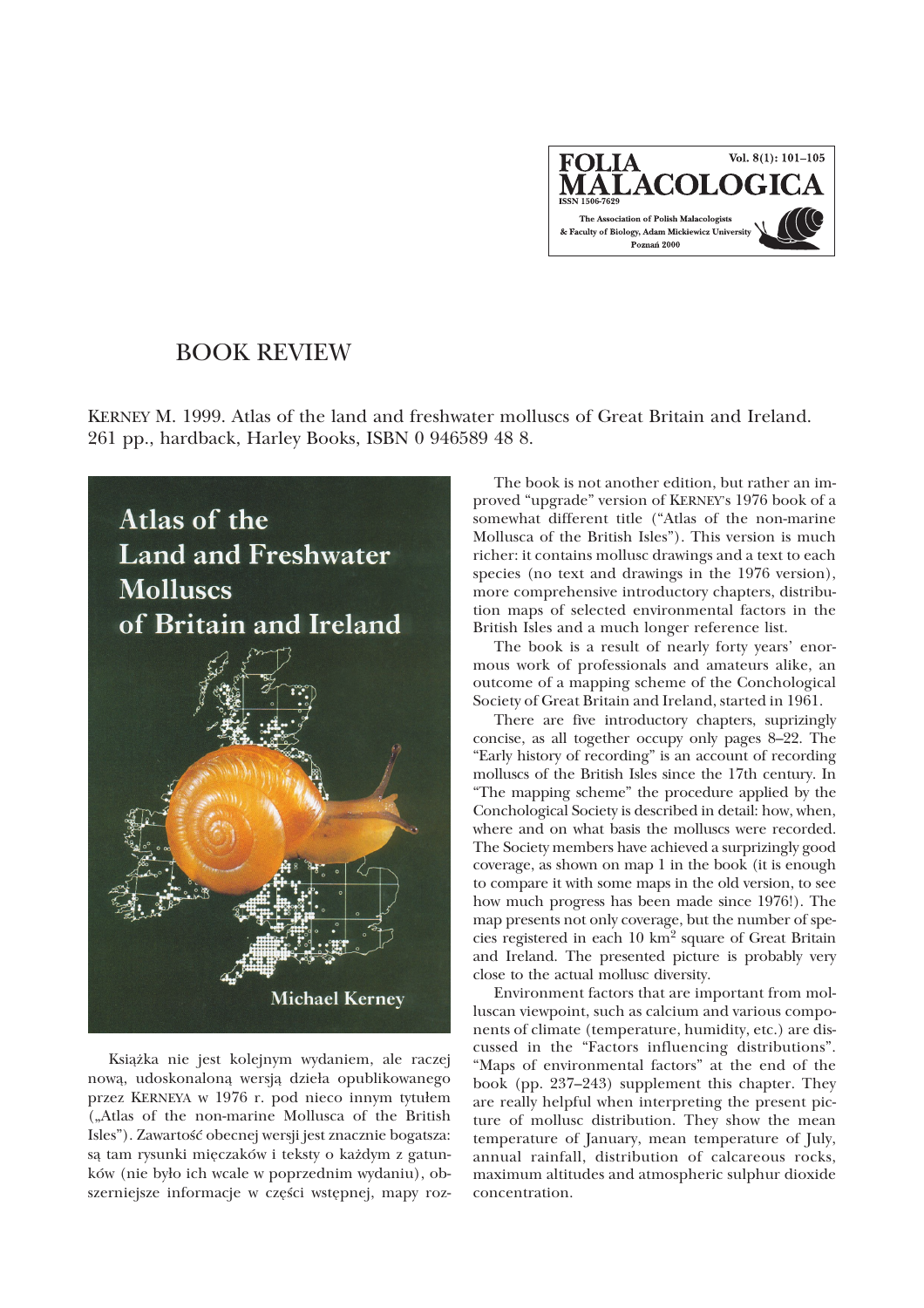Vol.  $8(1): 101-105$ **FOLIA** MALACOLOGICA The Association of Polish Malacologists & Faculty of Biology, Adam Mickiewicz University Poznań 2000

## BOOK REVIEW

KERNEY M. 1999. Atlas of the land and freshwater molluscs of Great Britain and Ireland. 261 pp., hardback, Harley Books, ISBN 0 946589 48 8.



Książka nie jest kolejnym wydaniem, ale raczej nową, udoskonaloną wersją dzieła opublikowanego przez KERNEYA w 1976 r. pod nieco innym tytułem ("Atlas of the non-marine Mollusca of the British Isles"). Zawartość obecnej wersji jest znacznie bogatsza: są tam rysunki mięczaków i teksty o każdym z gatunków (nie było ich wcale w poprzednim wydaniu), obszerniejsze informacje w części wstępnej, mapy roz-

The book is not another edition, but rather an improved "upgrade" version of KERNEY's 1976 book of a somewhat different title ("Atlas of the non-marine Mollusca of the British Isles"). This version is much richer: it contains mollusc drawings and a text to each species (no text and drawings in the 1976 version), more comprehensive introductory chapters, distribution maps of selected environmental factors in the British Isles and a much longer reference list.

The book is a result of nearly forty years' enormous work of professionals and amateurs alike, an outcome of a mapping scheme of the Conchological Society of Great Britain and Ireland, started in 1961.

There are five introductory chapters, suprizingly concise, as all together occupy only pages 8–22. The "Early history of recording" is an account of recording molluscs of the British Isles since the 17th century. In "The mapping scheme" the procedure applied by the Conchological Society is described in detail: how, when, where and on what basis the molluscs were recorded. The Society members have achieved a surprizingly good coverage, as shown on map 1 in the book (it is enough to compare it with some maps in the old version, to see how much progress has been made since 1976!). The map presents not only coverage, but the number of species registered in each 10 km2 square of Great Britain and Ireland. The presented picture is probably very close to the actual mollusc diversity.

Environment factors that are important from molluscan viewpoint, such as calcium and various components of climate (temperature, humidity, etc.) are discussed in the "Factors influencing distributions". "Maps of environmental factors" at the end of the book (pp. 237–243) supplement this chapter. They are really helpful when interpreting the present picture of mollusc distribution. They show the mean temperature of January, mean temperature of July, annual rainfall, distribution of calcareous rocks, maximum altitudes and atmospheric sulphur dioxide concentration.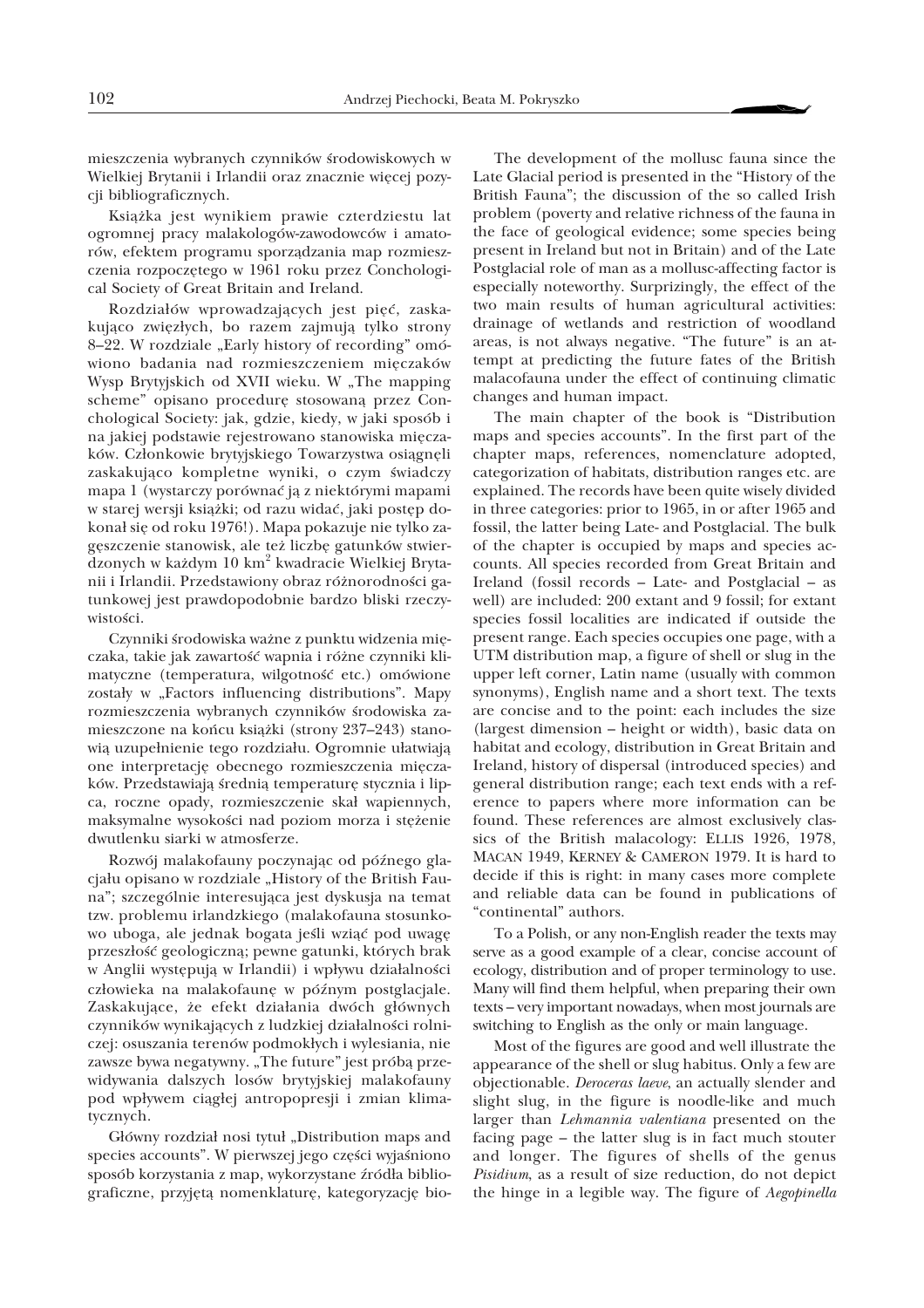mieszczenia wybranych czynników środowiskowych w Wielkiej Brytanii i Irlandii oraz znacznie więcej pozycji bibliograficznych.

Książka jest wynikiem prawie czterdziestu lat ogromnej pracy malakologów-zawodowców i amatorów, efektem programu sporządzania map rozmieszczenia rozpoczêtego w 1961 roku przez Conchological Society of Great Britain and Ireland.

Rozdziałów wprowadzających jest pięć, zaskakująco zwięzłych, bo razem zajmują tylko strony 8–22. W rozdziale "Early history of recording" omówiono badania nad rozmieszczeniem miêczaków Wysp Brytyjskich od XVII wieku. W "The mapping scheme" opisano procedurę stosowaną przez Conchological Society: jak, gdzie, kiedy, w jaki sposób i na jakiej podstawie rejestrowano stanowiska miêczaków. Członkowie brytyjskiego Towarzystwa osiągnęli zaskakująco kompletne wyniki, o czym świadczy mapa 1 (wystarczy porównać ją z niektórymi mapami w starej wersji książki; od razu widać, jaki postęp dokonał się od roku 1976!). Mapa pokazuje nie tylko zagęszczenie stanowisk, ale też liczbę gatunków stwierdzonych w ka¿dym 10 km<sup>2</sup> kwadracie Wielkiej Brytanii i Irlandii. Przedstawiony obraz różnorodności gatunkowej jest prawdopodobnie bardzo bliski rzeczywistości.

Czynniki środowiska ważne z punktu widzenia mięczaka, takie jak zawartość wapnia i różne czynniki klimatyczne (temperatura, wilgotność etc.) omówione zostały w "Factors influencing distributions". Mapy rozmieszczenia wybranych czynników środowiska zamieszczone na końcu książki (strony 237–243) stanowią uzupełnienie tego rozdziału. Ogromnie ułatwiają one interpretacjê obecnego rozmieszczenia miêczaków. Przedstawiają średnią temperaturę stycznia i lipca, roczne opady, rozmieszczenie skał wapiennych, maksymalne wysokości nad poziom morza i stężenie dwutlenku siarki w atmosferze.

Rozwój malakofauny poczynając od późnego glacjału opisano w rozdziale "History of the British Fauna"; szczególnie interesująca jest dyskusja na temat tzw. problemu irlandzkiego (malakofauna stosunkowo uboga, ale jednak bogata jeśli wziąć pod uwagę przeszłość geologiczną; pewne gatunki, których brak w Anglii występują w Irlandii) i wpływu działalności człowieka na malakofaunę w późnym postglacjale. Zaskakujące, że efekt działania dwóch głównych czynników wynikających z ludzkiej działalności rolniczej: osuszania terenów podmokłych i wylesiania, nie zawsze bywa negatywny. "The future" jest próbą przewidywania dalszych losów brytyjskiej malakofauny pod wpływem ciągłej antropopresji i zmian klimatycznych.

Główny rozdział nosi tytuł "Distribution maps and species accounts". W pierwszej jego części wyjaśniono sposób korzystania z map, wykorzystane źródła bibliograficzne, przyjętą nomenklaturę, kategoryzację bio-

The development of the mollusc fauna since the Late Glacial period is presented in the "History of the British Fauna"; the discussion of the so called Irish problem (poverty and relative richness of the fauna in the face of geological evidence; some species being present in Ireland but not in Britain) and of the Late Postglacial role of man as a mollusc-affecting factor is especially noteworthy. Surprizingly, the effect of the two main results of human agricultural activities: drainage of wetlands and restriction of woodland areas, is not always negative. "The future" is an attempt at predicting the future fates of the British malacofauna under the effect of continuing climatic changes and human impact.

The main chapter of the book is "Distribution maps and species accounts". In the first part of the chapter maps, references, nomenclature adopted, categorization of habitats, distribution ranges etc. are explained. The records have been quite wisely divided in three categories: prior to 1965, in or after 1965 and fossil, the latter being Late- and Postglacial. The bulk of the chapter is occupied by maps and species accounts. All species recorded from Great Britain and Ireland (fossil records – Late- and Postglacial – as well) are included: 200 extant and 9 fossil; for extant species fossil localities are indicated if outside the present range. Each species occupies one page, with a UTM distribution map, a figure of shell or slug in the upper left corner, Latin name (usually with common synonyms), English name and a short text. The texts are concise and to the point: each includes the size (largest dimension – height or width), basic data on habitat and ecology, distribution in Great Britain and Ireland, history of dispersal (introduced species) and general distribution range; each text ends with a reference to papers where more information can be found. These references are almost exclusively classics of the British malacology: ELLIS 1926, 1978, MACAN 1949, KERNEY & CAMERON 1979. It is hard to decide if this is right: in many cases more complete and reliable data can be found in publications of "continental" authors.

To a Polish, or any non-English reader the texts may serve as a good example of a clear, concise account of ecology, distribution and of proper terminology to use. Many will find them helpful, when preparing their own texts – very important nowadays, when most journals are switching to English as the only or main language.

Most of the figures are good and well illustrate the appearance of the shell or slug habitus. Only a few are objectionable. *Deroceras laeve*, an actually slender and slight slug, in the figure is noodle-like and much larger than *Lehmannia valentiana* presented on the facing page – the latter slug is in fact much stouter and longer. The figures of shells of the genus *Pisidium*, as a result of size reduction, do not depict the hinge in a legible way. The figure of *Aegopinella*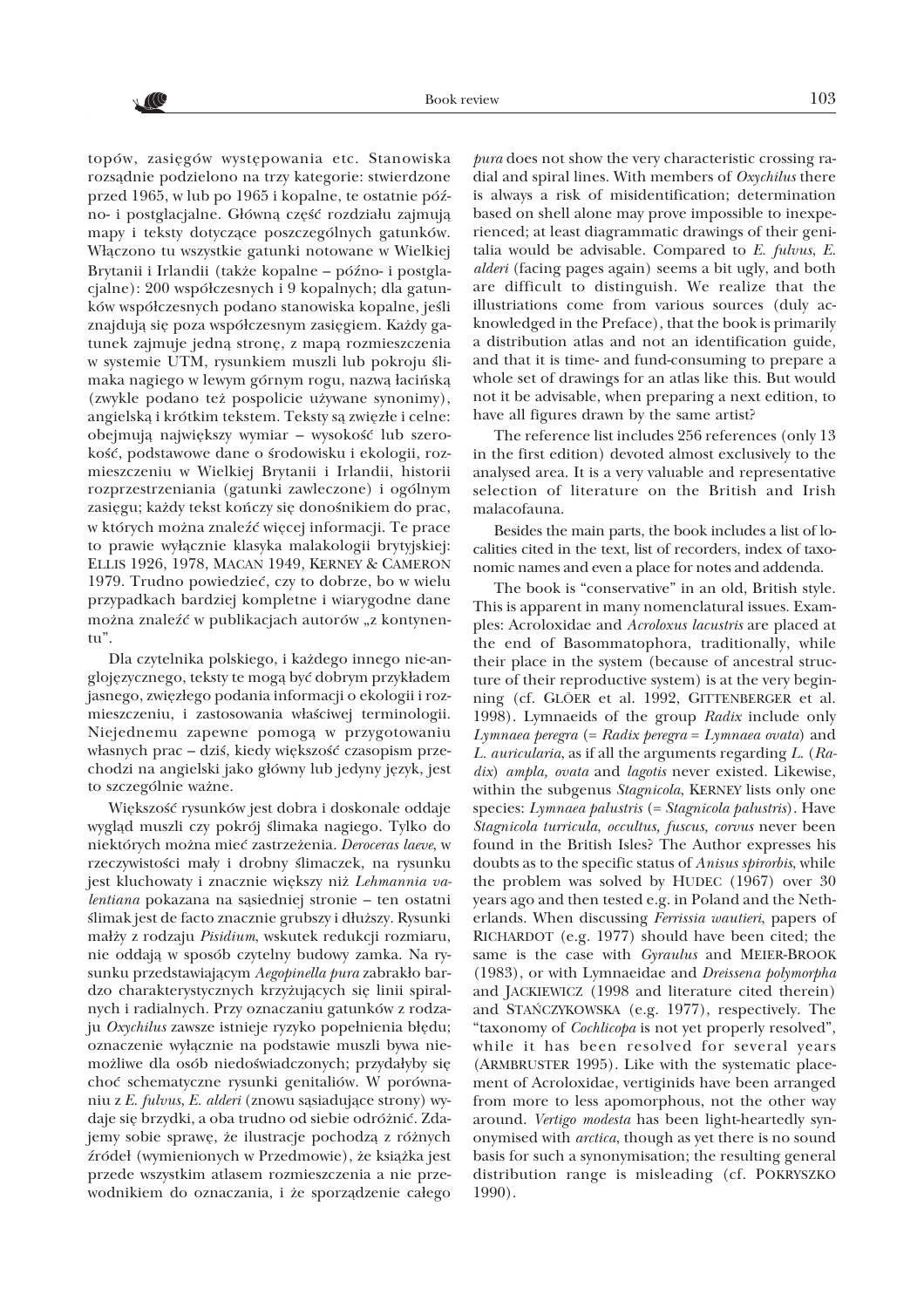// ( C

topów, zasięgów występowania etc. Stanowiska rozsądnie podzielono na trzy kategorie: stwierdzone przed 1965, w lub po 1965 i kopalne, te ostatnie pózno- i postglacjalne. Główną część rozdziału zajmują mapy i teksty dotyczące poszczególnych gatunków. Włączono tu wszystkie gatunki notowane w Wielkiej Brytanii i Irlandii (także kopalne – późno- i postglacjalne): 200 współczesnych i 9 kopalnych; dla gatunków współczesnych podano stanowiska kopalne, jeśli znajdują się poza współczesnym zasięgiem. Każdy gatunek zajmuje jedną stronę, z mapą rozmieszczenia w systemie UTM, rysunkiem muszli lub pokroju ślimaka nagiego w lewym górnym rogu, nazwą łacińską (zwykle podano też pospolicie używane synonimy), angielską i krótkim tekstem. Teksty są zwięzłe i celne: obejmują największy wymiar – wysokość lub szerokość, podstawowe dane o środowisku i ekologii, rozmieszczeniu w Wielkiej Brytanii i Irlandii, historii rozprzestrzeniania (gatunki zawleczone) i ogólnym zasięgu; każdy tekst kończy się donośnikiem do prac, w których można znaleźć więcej informacji. Te prace to prawie wyłącznie klasyka malakologii brytyjskiej: ELLIS 1926, 1978, MACAN 1949, KERNEY & CAMERON 1979. Trudno powiedzieć, czy to dobrze, bo w wielu przypadkach bardziej kompletne i wiarygodne dane można znaleźć w publikacjach autorów "z kontynentu".

Dla czytelnika polskiego, i ka¿dego innego nie-anglojęzycznego, teksty te mogą być dobrym przykładem jasnego, zwięzłego podania informacji o ekologii i rozmieszczeniu, i zastosowania właściwej terminologii. Niejednemu zapewne pomogą w przygotowaniu własnych prac – dziś, kiedy większość czasopism przechodzi na angielski jako główny lub jedyny język, jest to szczególnie ważne.

Większość rysunków jest dobra i doskonale oddaje wygląd muszli czy pokrój ślimaka nagiego. Tylko do niektórych mo¿na mieæ zastrze¿enia. *Deroceras laeve*, w rzeczywistości mały i drobny ślimaczek, na rysunku jest kluchowaty i znacznie większy niż Lehmannia va*lentiana* pokazana na sąsiedniej stronie – ten ostatni ślimak jest de facto znacznie grubszy i dłuższy. Rysunki ma³¿y z rodzaju *Pisidium*, wskutek redukcji rozmiaru, nie oddają w sposób czytelny budowy zamka. Na rysunku przedstawiającym Aegopinella pura zabrakło bardzo charakterystycznych krzyżujących się linii spiralnych i radialnych. Przy oznaczaniu gatunków z rodzaju Oxychilus zawsze istnieje ryzyko popełnienia błędu; oznaczenie wyłącznie na podstawie muszli bywa niemożliwe dla osób niedoświadczonych; przydałyby się choć schematyczne rysunki genitaliów. W porównaniu z *E. fulvus, E. alderi* (znowu sąsiadujące strony) wydaje się brzydki, a oba trudno od siebie odróżnić. Zdajemy sobie sprawę, że ilustracje pochodzą z różnych źródeł (wymienionych w Przedmowie), że książka jest przede wszystkim atlasem rozmieszczenia a nie przewodnikiem do oznaczania, i że sporządzenie całego

*pura* does not show the very characteristic crossing radial and spiral lines. With members of *Oxychilus* there is always a risk of misidentification; determination based on shell alone may prove impossible to inexperienced; at least diagrammatic drawings of their genitalia would be advisable. Compared to *E. fulvus*, *E. alderi* (facing pages again) seems a bit ugly, and both are difficult to distinguish. We realize that the illustriations come from various sources (duly acknowledged in the Preface), that the book is primarily a distribution atlas and not an identification guide, and that it is time- and fund-consuming to prepare a whole set of drawings for an atlas like this. But would not it be advisable, when preparing a next edition, to have all figures drawn by the same artist?

The reference list includes 256 references (only 13 in the first edition) devoted almost exclusively to the analysed area. It is a very valuable and representative selection of literature on the British and Irish malacofauna.

Besides the main parts, the book includes a list of localities cited in the text, list of recorders, index of taxonomic names and even a place for notes and addenda.

The book is "conservative" in an old, British style. This is apparent in many nomenclatural issues. Examples: Acroloxidae and *Acroloxus lacustris* are placed at the end of Basommatophora, traditionally, while their place in the system (because of ancestral structure of their reproductive system) is at the very beginning (cf. GLÖER et al. 1992, GITTENBERGER et al. 1998). Lymnaeids of the group *Radix* include only *Lymnaea peregra* (= *Radix peregra* = *Lymnaea ovata*) and *L. auricularia*, as if all the arguments regarding *L*. (*Radix*) *ampla, ovata* and *lagotis* never existed. Likewise, within the subgenus *Stagnicola*, KERNEY lists only one species: *Lymnaea palustris* (= *Stagnicola palustris*). Have *Stagnicola turricula*, *occultus, fuscus, corvus* never been found in the British Isles? The Author expresses his doubts as to the specific status of *Anisus spirorbis*, while the problem was solved by HUDEC (1967) over 30 years ago and then tested e.g. in Poland and the Netherlands. When discussing *Ferrissia wautieri*, papers of RICHARDOT (e.g. 1977) should have been cited; the same is the case with *Gyraulus* and MEIER-BROOK (1983), or with Lymnaeidae and *Dreissena polymorpha* and JACKIEWICZ (1998 and literature cited therein) and STAÑCZYKOWSKA (e.g. 1977), respectively. The "taxonomy of *Cochlicopa* is not yet properly resolved", while it has been resolved for several years (ARMBRUSTER 1995). Like with the systematic placement of Acroloxidae, vertiginids have been arranged from more to less apomorphous, not the other way around. *Vertigo modesta* has been light-heartedly synonymised with *arctica*, though as yet there is no sound basis for such a synonymisation; the resulting general distribution range is misleading (cf. POKRYSZKO 1990).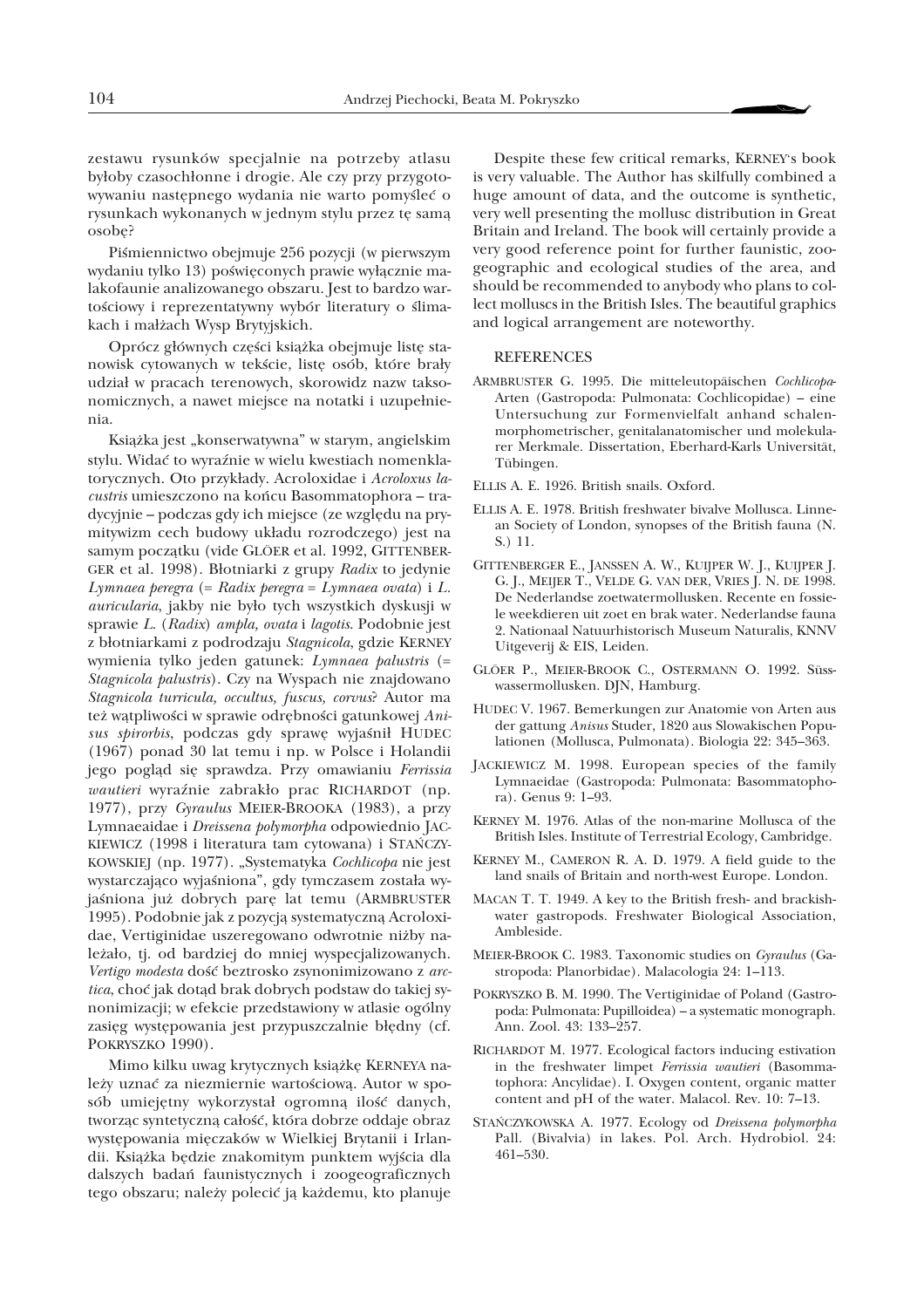zestawu rysunków specjalnie na potrzeby atlasu byłoby czasochłonne i drogie. Ale czy przy przygotowywaniu następnego wydania nie warto pomyśleć o rysunkach wykonanych w jednym stylu przez tę samą osobê?

Piśmiennictwo obejmuje 256 pozycji (w pierwszym wydaniu tylko 13) poświęconych prawie wyłącznie malakofaunie analizowanego obszaru. Jest to bardzo wartościowy i reprezentatywny wybór literatury o ślimakach i małżach Wysp Brytyjskich.

Oprócz głównych części książka obejmuje listę stanowisk cytowanych w tekście, listę osób, które brały udział w pracach terenowych, skorowidz nazw taksonomicznych, a nawet miejsce na notatki i uzupełnienia.

Książka jest "konserwatywna" w starym, angielskim stylu. Widać to wyraźnie w wielu kwestiach nomenklatorycznych. Oto przykłady. Acroloxidae i Acroloxus la*custris* umieszczono na koñcu Basommatophora – tradycyjnie – podczas gdy ich miejsce (ze wzglêdu na prymitywizm cech budowy uk³adu rozrodczego) jest na samym początku (vide GLÖER et al. 1992, GITTENBER-GER et al. 1998). Błotniarki z grupy *Radix* to jedynie *Lymnaea peregra* (= *Radix peregra* = *Lymnaea ovata*) i *L. auricularia*, jakby nie by³o tych wszystkich dyskusji w sprawie *L*. (*Radix*) *ampla, ovata* i *lagotis*. Podobnie jest z błotniarkami z podrodzaju Stagnicola, gdzie KERNEY wymienia tylko jeden gatunek: *Lymnaea palustris* (= *Stagnicola palustris*). Czy na Wyspach nie znajdowano *Stagnicola turricula, occultus, fuscus, corvus*? Autor ma też wątpliwości w sprawie odrębności gatunkowej Anisus spirorbis, podczas gdy sprawę wyjaśnił HUDEC (1967) ponad 30 lat temu i np. w Polsce i Holandii jego pogląd się sprawdza. Przy omawianiu Ferrissia  $wautieri$  wyraźnie zabrakło prac RICHARDOT (np. 1977), przy *Gyraulus* MEIER-BROOKA (1983), a przy Lymnaeaidae i *Dreissena polymorpha* odpowiednio JAC-KIEWICZ (1998 i literatura tam cytowana) i STAÑCZY-KOWSKIEJ (np. 1977). "Systematyka *Cochlicopa* nie jest wystarczająco wyjaśniona", gdy tymczasem została wyjaśniona już dobrych parę lat temu (ARMBRUSTER 1995). Podobnie jak z pozycją systematyczną Acroloxidae, Vertiginidae uszeregowano odwrotnie ni¿by należało, tj. od bardziej do mniej wyspecjalizowanych. *Vertigo modesta* doϾ beztrosko zsynonimizowano z *arc*tica, choć jak dotąd brak dobrych podstaw do takiej synonimizacji; w efekcie przedstawiony w atlasie ogólny zasięg występowania jest przypuszczalnie błędny (cf. POKRYSZKO 1990).

Mimo kilku uwag krytycznych książkę KERNEYA należy uznać za niezmiernie wartościową. Autor w sposób umiejętny wykorzystał ogromną ilość danych, tworząc syntetyczną całość, która dobrze oddaje obraz występowania mięczaków w Wielkiej Brytanii i Irlandii. Książka będzie znakomitym punktem wyjścia dla dalszych badañ faunistycznych i zoogeograficznych tego obszaru; należy polecić ją każdemu, kto planuje

Despite these few critical remarks, KERNEY's book is very valuable. The Author has skilfully combined a huge amount of data, and the outcome is synthetic, very well presenting the mollusc distribution in Great Britain and Ireland. The book will certainly provide a very good reference point for further faunistic, zoogeographic and ecological studies of the area, and should be recommended to anybody who plans to collect molluscs in the British Isles. The beautiful graphics and logical arrangement are noteworthy.

## **REFERENCES**

- ARMBRUSTER G. 1995. Die mitteleutopäischen *Cochlicopa*-Arten (Gastropoda: Pulmonata: Cochlicopidae) – eine Untersuchung zur Formenvielfalt anhand schalenmorphometrischer, genitalanatomischer und molekularer Merkmale. Dissertation, Eberhard-Karls Universität, Tübingen.
- ELLIS A. E. 1926. British snails. Oxford.
- ELLIS A. E. 1978. British freshwater bivalve Mollusca. Linnean Society of London, synopses of the British fauna (N. S.) 11.
- GITTENBERGER E., JANSSEN A. W., KUIJPER W. J., KUIJPER J. G. J., MEIJER T., VELDE G. VAN DER, VRIES J. N. DE 1998. De Nederlandse zoetwatermollusken. Recente en fossiele weekdieren uit zoet en brak water. Nederlandse fauna 2. Nationaal Natuurhistorisch Museum Naturalis, KNNV Uitgeverij & EIS, Leiden.
- GLÖER P., MEIER-BROOK C., OSTERMANN O. 1992. Süsswassermollusken. DJN, Hamburg.
- HUDEC V. 1967. Bemerkungen zur Anatomie von Arten aus der gattung *Anisus* Studer, 1820 aus Slowakischen Populationen (Mollusca, Pulmonata). Biologia 22: 345–363.
- JACKIEWICZ M. 1998. European species of the family Lymnaeidae (Gastropoda: Pulmonata: Basommatophora). Genus 9: 1–93.
- KERNEY M. 1976. Atlas of the non-marine Mollusca of the British Isles. Institute of Terrestrial Ecology, Cambridge.
- KERNEY M., CAMERON R. A. D. 1979. A field guide to the land snails of Britain and north-west Europe. London.
- MACAN T. T. 1949. A key to the British fresh- and brackishwater gastropods. Freshwater Biological Association, Ambleside.
- MEIER-BROOK C. 1983. Taxonomic studies on *Gyraulus* (Gastropoda: Planorbidae). Malacologia 24: 1–113.
- POKRYSZKO B. M. 1990. The Vertiginidae of Poland (Gastropoda: Pulmonata: Pupilloidea) – a systematic monograph. Ann. Zool. 43: 133–257.
- RICHARDOT M. 1977. Ecological factors inducing estivation in the freshwater limpet *Ferrissia wautieri* (Basommatophora: Ancylidae). I. Oxygen content, organic matter content and pH of the water. Malacol. Rev. 10: 7–13.
- STAÑCZYKOWSKA A. 1977. Ecology od *Dreissena polymorpha* Pall. (Bivalvia) in lakes. Pol. Arch. Hydrobiol. 24: 461–530.